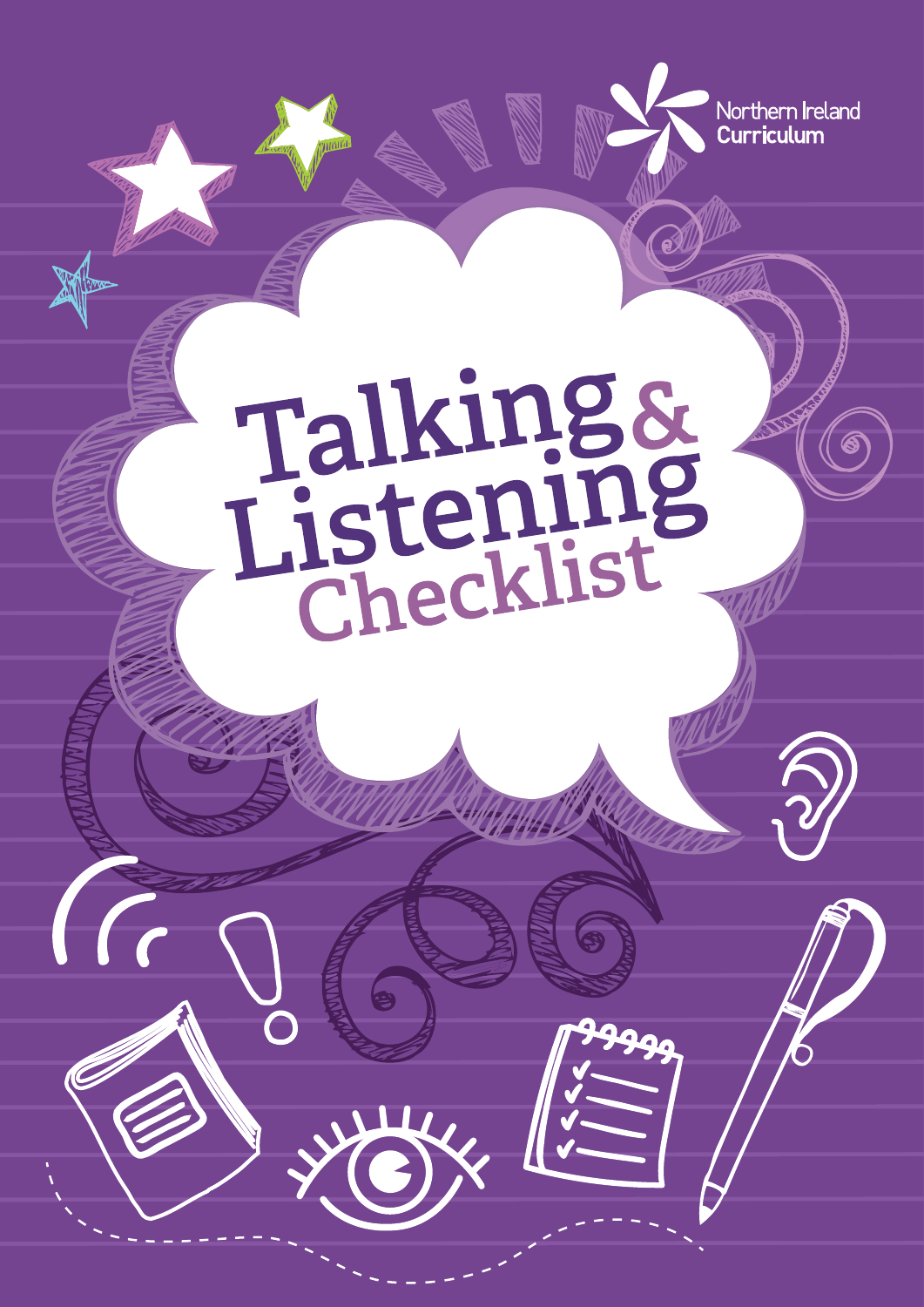

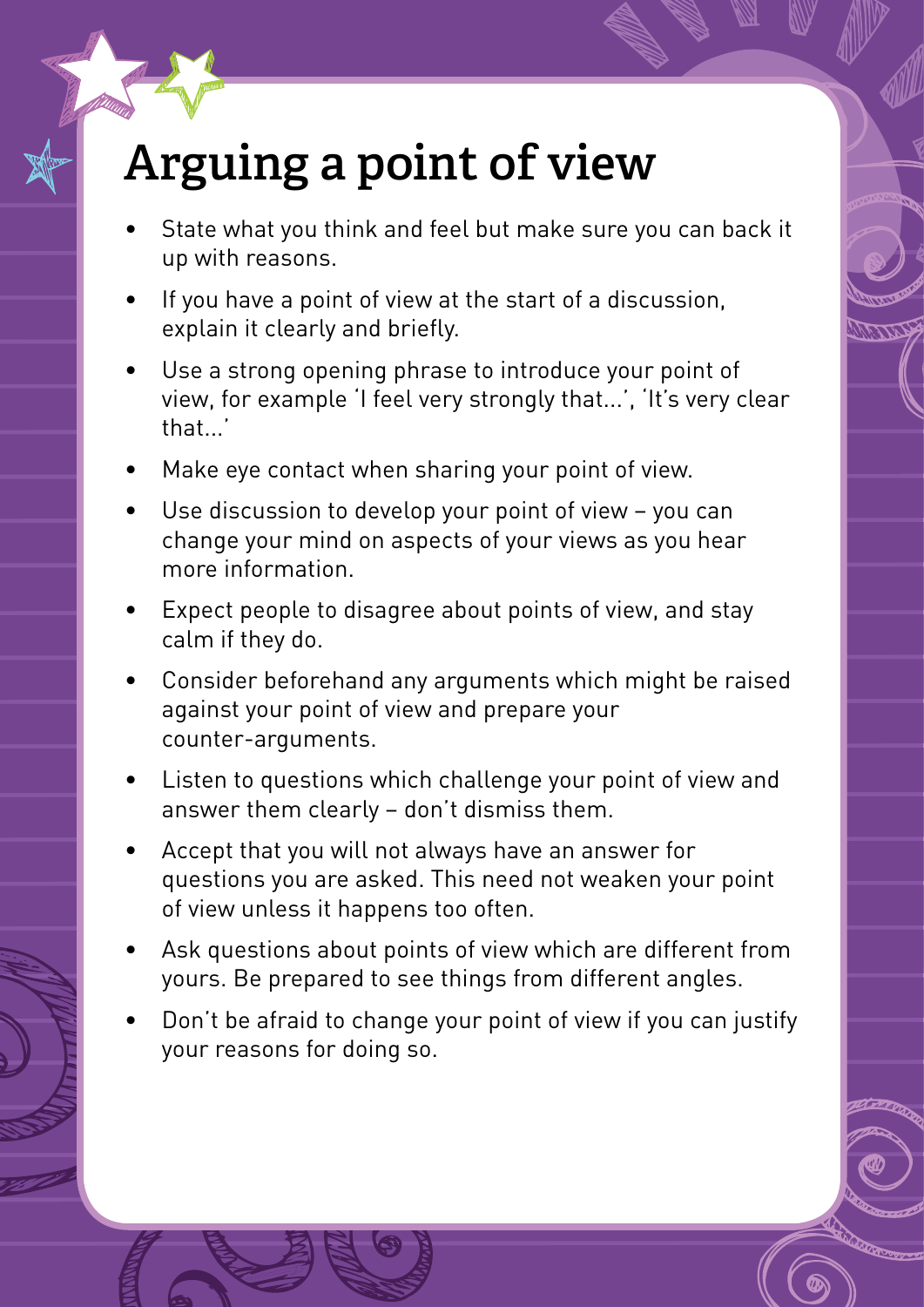# **Arguing a point of view**

- State what you think and feel but make sure you can back it up with reasons.
- If you have a point of view at the start of a discussion, explain it clearly and briefly.
- Use a strong opening phrase to introduce your point of view, for example 'I feel very strongly that...', 'It's very clear that.
- Make eye contact when sharing your point of view.
- Use discussion to develop your point of view you can change your mind on aspects of your views as you hear more information.
- Expect people to disagree about points of view, and stay calm if they do.
- Consider beforehand any arguments which might be raised against your point of view and prepare your counter-arguments.
- Listen to questions which challenge your point of view and answer them clearly – don't dismiss them.
- Accept that you will not always have an answer for questions you are asked. This need not weaken your point of view unless it happens too often.
- Ask questions about points of view which are different from yours. Be prepared to see things from different angles.
- Don't be afraid to change your point of view if you can justify your reasons for doing so.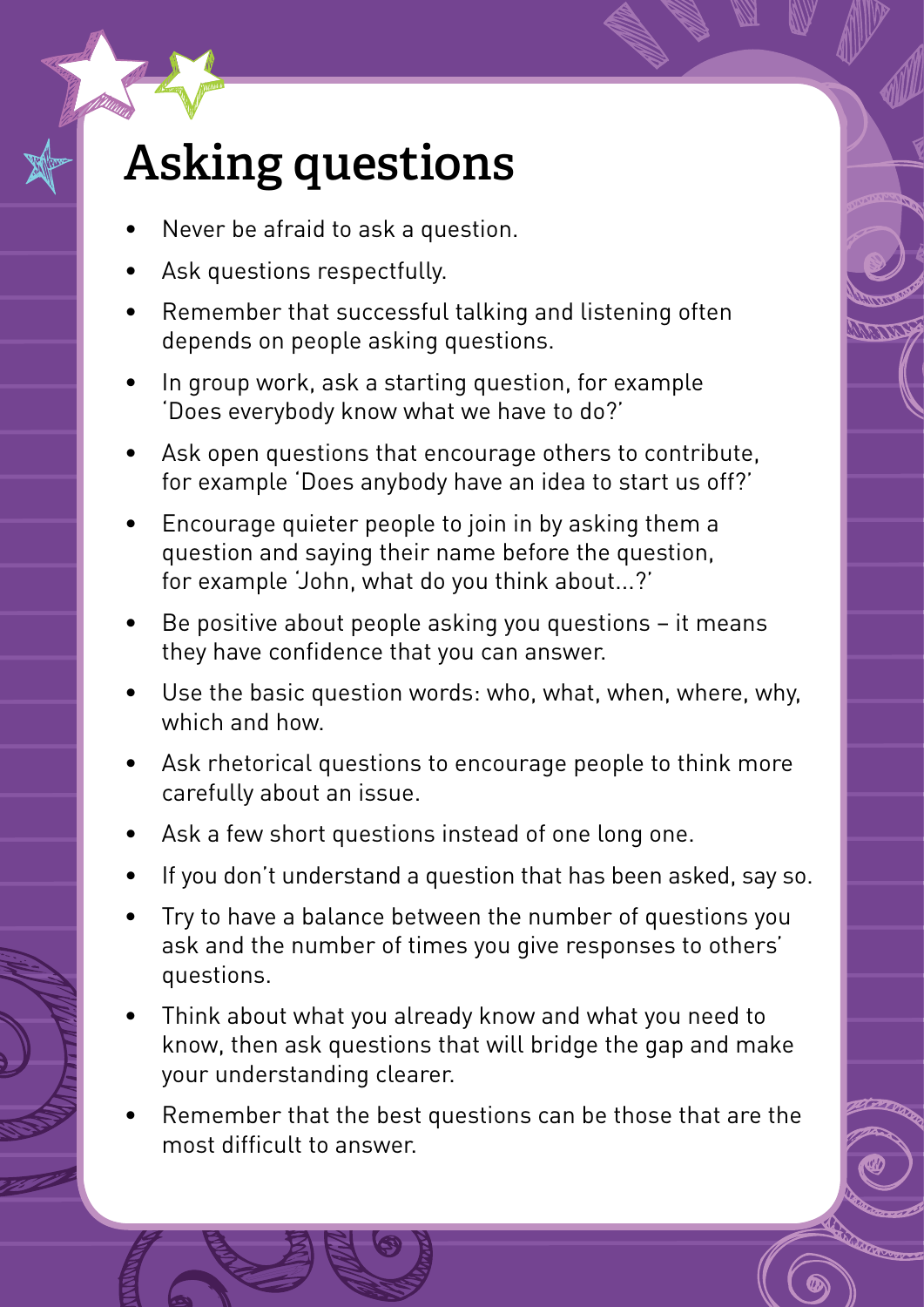# **Asking questions**

- Never be afraid to ask a question.
- Ask questions respectfully.
- Remember that successful talking and listening often depends on people asking questions.
- In group work, ask a starting question, for example 'Does everybody know what we have to do?'
- Ask open questions that encourage others to contribute, for example 'Does anybody have an idea to start us off?'
- Encourage quieter people to join in by asking them a question and saying their name before the question, for example 'John, what do you think about...?'
- Be positive about people asking you questions it means they have confidence that you can answer.
- Use the basic question words: who, what, when, where, why, which and how.
- Ask rhetorical questions to encourage people to think more carefully about an issue.
- Ask a few short questions instead of one long one.
- If you don't understand a question that has been asked, say so.
- Try to have a balance between the number of questions you ask and the number of times you give responses to others' questions.
- Think about what you already know and what you need to know, then ask questions that will bridge the gap and make your understanding clearer.
- Remember that the best questions can be those that are the most difficult to answer.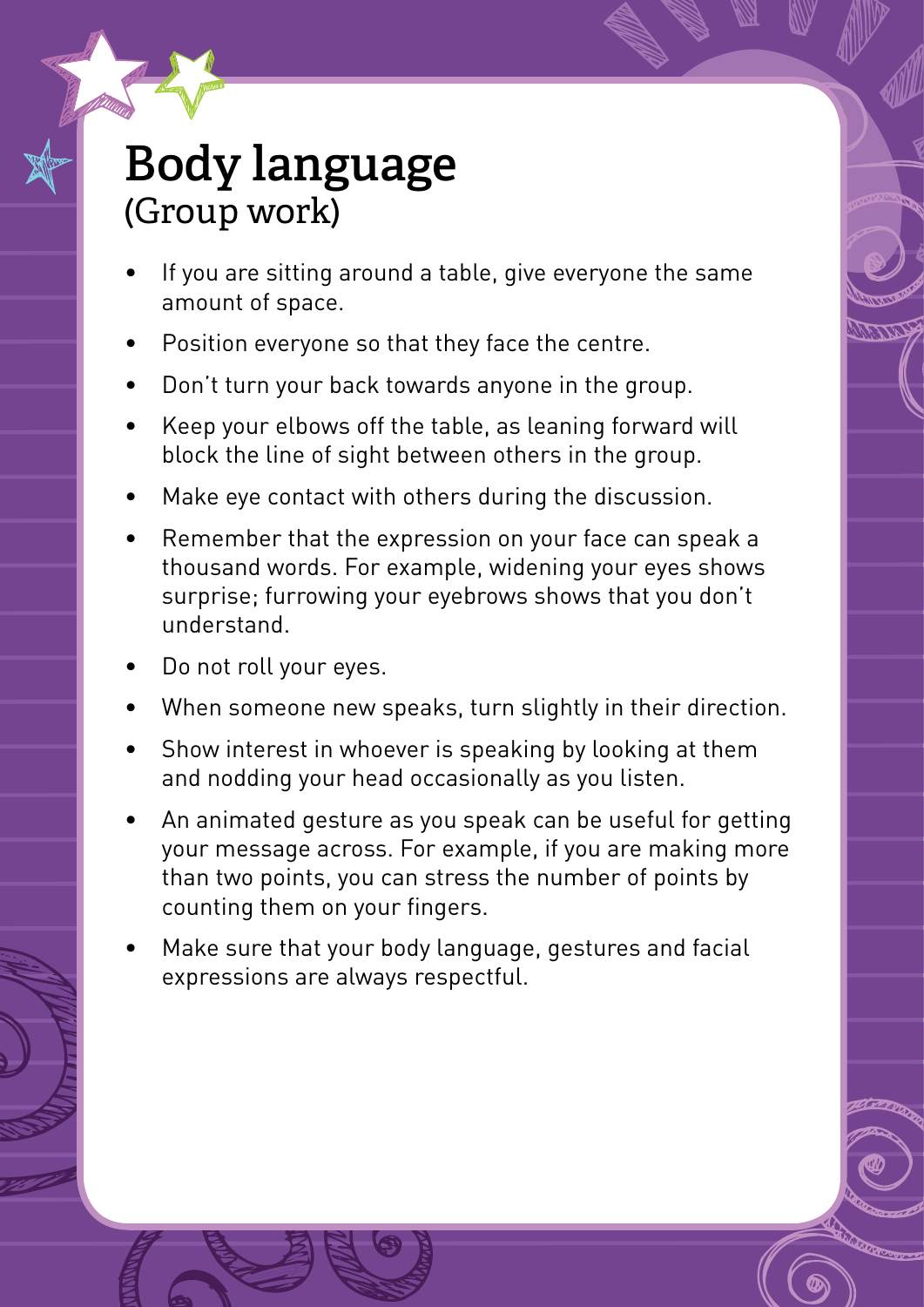#### **Body language** (Group work)

- If you are sitting around a table, give everyone the same amount of space.
- Position everyone so that they face the centre.
- Bon't turn your back towards anyone in the group.
- Keep your elbows off the table, as leaning forward will block the line of sight between others in the group.
- Make eye contact with others during the discussion.
- • Remember that the expression on your face can speak a thousand words. For example, widening your eyes shows surprise; furrowing your eyebrows shows that you don't understand.
- Do not roll your eyes.
- **When someone new speaks, turn slightly in their direction.**
- Show interest in whoever is speaking by looking at them and nodding your head occasionally as you listen.
- An animated gesture as you speak can be useful for getting your message across. For example, if you are making more than two points, you can stress the number of points by counting them on your fingers.
- Make sure that your body language, gestures and facial expressions are always respectful.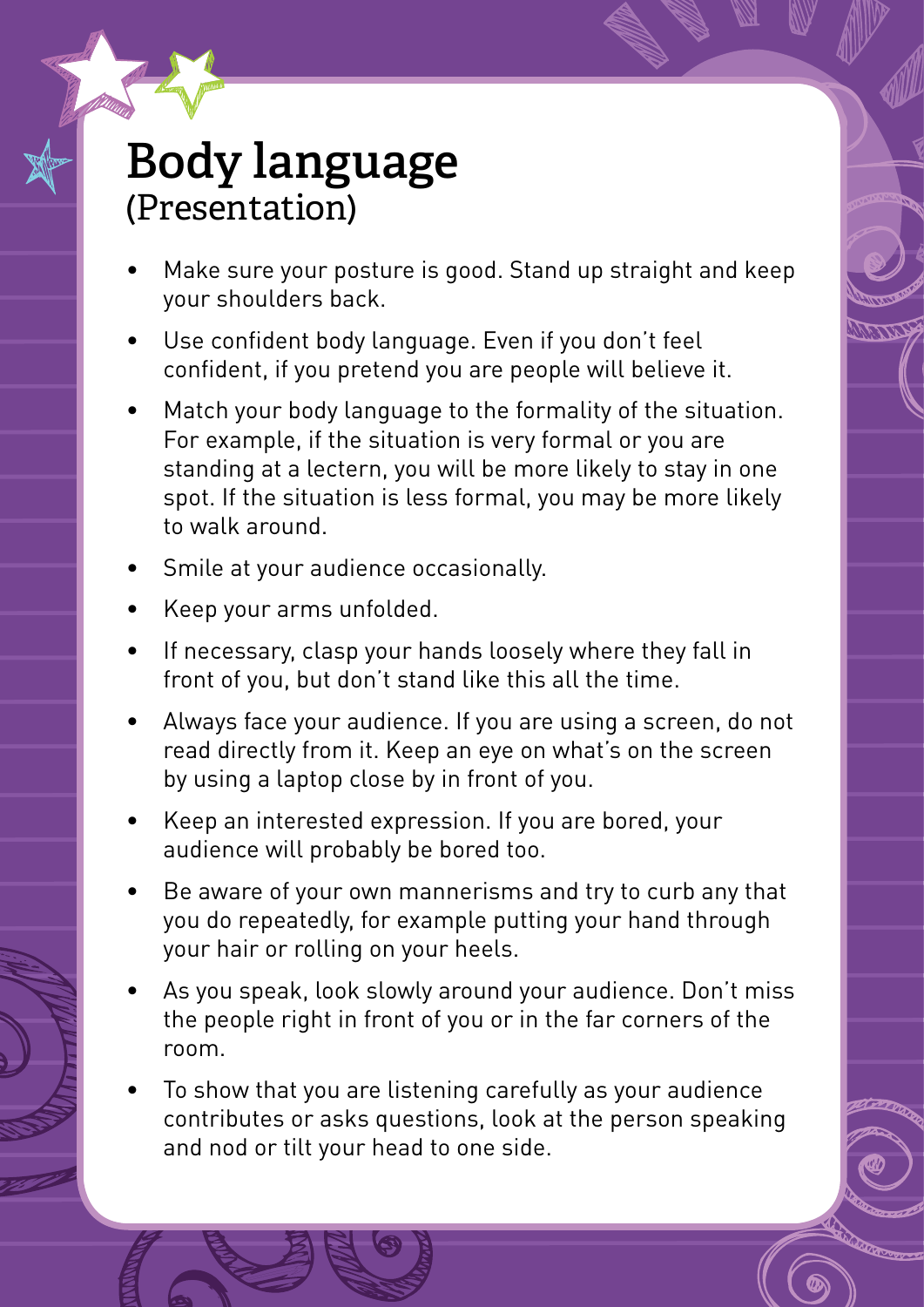#### **Body language** (Presentation)

- Make sure your posture is good. Stand up straight and keep your shoulders back.
- Use confident body language. Even if you don't feel confident, if you pretend you are people will believe it.
- Match your body language to the formality of the situation. For example, if the situation is very formal or you are standing at a lectern, you will be more likely to stay in one spot. If the situation is less formal, you may be more likely to walk around.
- Smile at your audience occasionally.
- • Keep your arms unfolded.
- If necessary, clasp your hands loosely where they fall in front of you, but don't stand like this all the time.
- Always face your audience. If you are using a screen, do not read directly from it. Keep an eye on what's on the screen by using a laptop close by in front of you.
- Keep an interested expression. If you are bored, your audience will probably be bored too.
- Be aware of your own mannerisms and try to curb any that you do repeatedly, for example putting your hand through your hair or rolling on your heels.
- As vou speak, look slowly around your audience. Don't miss the people right in front of you or in the far corners of the room.
- To show that you are listening carefully as your audience contributes or asks questions, look at the person speaking and nod or tilt your head to one side.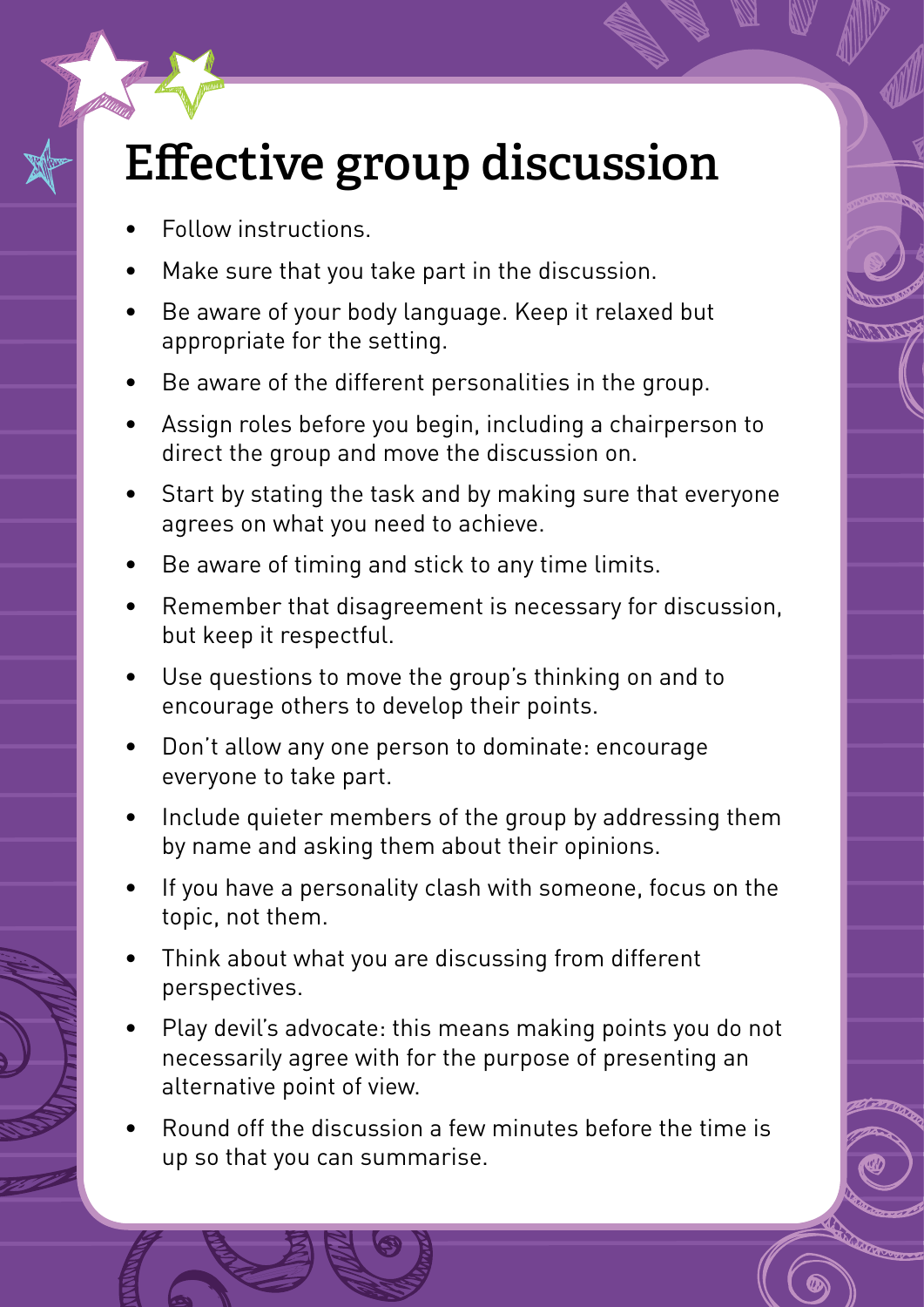## **Effective group discussion**

- Follow instructions
- Make sure that you take part in the discussion.
- Be aware of your body language. Keep it relaxed but appropriate for the setting.
- Be aware of the different personalities in the group.
- Assign roles before you begin, including a chairperson to direct the group and move the discussion on.
- Start by stating the task and by making sure that everyone agrees on what you need to achieve.
- Be aware of timing and stick to any time limits.
- Remember that disagreement is necessary for discussion, but keep it respectful.
- Use questions to move the group's thinking on and to encourage others to develop their points.
- Don't allow any one person to dominate: encourage everyone to take part.
- Include quieter members of the group by addressing them by name and asking them about their opinions.
- If you have a personality clash with someone, focus on the topic, not them.
- Think about what you are discussing from different perspectives.
- Play devil's advocate: this means making points you do not necessarily agree with for the purpose of presenting an alternative point of view.
- Round off the discussion a few minutes before the time is up so that you can summarise.